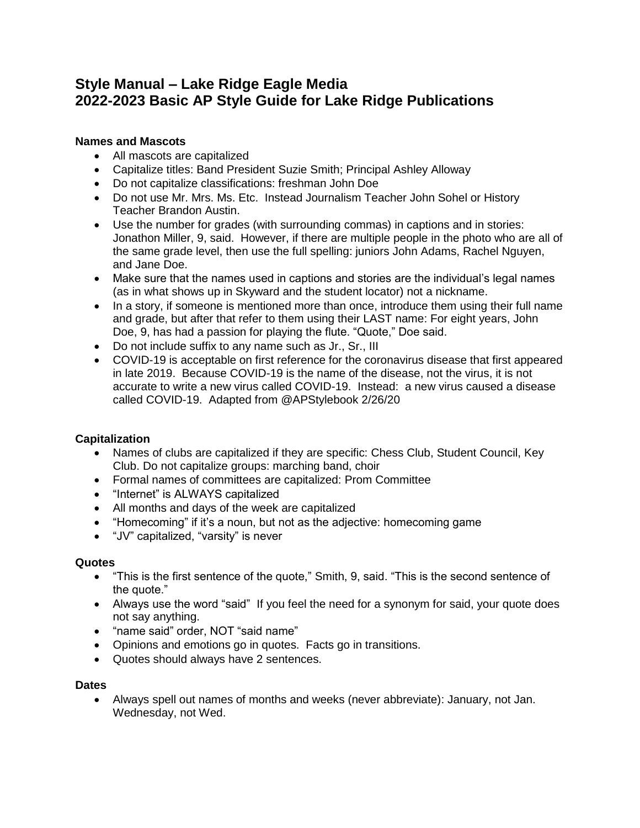# **Style Manual – Lake Ridge Eagle Media 2022-2023 Basic AP Style Guide for Lake Ridge Publications**

# **Names and Mascots**

- All mascots are capitalized
- Capitalize titles: Band President Suzie Smith; Principal Ashley Alloway
- Do not capitalize classifications: freshman John Doe
- Do not use Mr. Mrs. Ms. Etc. Instead Journalism Teacher John Sohel or History Teacher Brandon Austin.
- Use the number for grades (with surrounding commas) in captions and in stories: Jonathon Miller, 9, said. However, if there are multiple people in the photo who are all of the same grade level, then use the full spelling: juniors John Adams, Rachel Nguyen, and Jane Doe.
- Make sure that the names used in captions and stories are the individual's legal names (as in what shows up in Skyward and the student locator) not a nickname.
- In a story, if someone is mentioned more than once, introduce them using their full name and grade, but after that refer to them using their LAST name: For eight years, John Doe, 9, has had a passion for playing the flute. "Quote," Doe said.
- Do not include suffix to any name such as Jr., Sr., III
- COVID-19 is acceptable on first reference for the coronavirus disease that first appeared in late 2019. Because COVID-19 is the name of the disease, not the virus, it is not accurate to write a new virus called COVID-19. Instead: a new virus caused a disease called COVID-19. Adapted from @APStylebook 2/26/20

## **Capitalization**

- Names of clubs are capitalized if they are specific: Chess Club, Student Council, Key Club. Do not capitalize groups: marching band, choir
- Formal names of committees are capitalized: Prom Committee
- "Internet" is ALWAYS capitalized
- All months and days of the week are capitalized
- "Homecoming" if it's a noun, but not as the adjective: homecoming game
- "JV" capitalized, "varsity" is never

## **Quotes**

- "This is the first sentence of the quote," Smith, 9, said. "This is the second sentence of the quote."
- Always use the word "said" If you feel the need for a synonym for said, your quote does not say anything.
- "name said" order, NOT "said name"
- Opinions and emotions go in quotes. Facts go in transitions.
- Quotes should always have 2 sentences.

#### **Dates**

• Always spell out names of months and weeks (never abbreviate): January, not Jan. Wednesday, not Wed.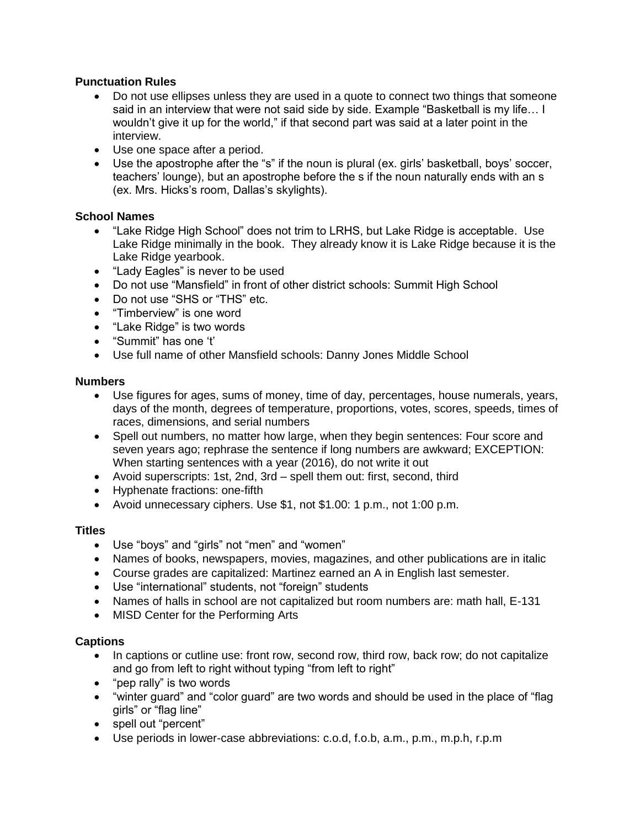# **Punctuation Rules**

- Do not use ellipses unless they are used in a quote to connect two things that someone said in an interview that were not said side by side. Example "Basketball is my life… I wouldn't give it up for the world," if that second part was said at a later point in the interview.
- Use one space after a period.
- Use the apostrophe after the "s" if the noun is plural (ex. girls' basketball, boys' soccer, teachers' lounge), but an apostrophe before the s if the noun naturally ends with an s (ex. Mrs. Hicks's room, Dallas's skylights).

# **School Names**

- "Lake Ridge High School" does not trim to LRHS, but Lake Ridge is acceptable. Use Lake Ridge minimally in the book. They already know it is Lake Ridge because it is the Lake Ridge yearbook.
- "Lady Eagles" is never to be used
- Do not use "Mansfield" in front of other district schools: Summit High School
- Do not use "SHS or "THS" etc.
- "Timberview" is one word
- "Lake Ridge" is two words
- "Summit" has one 't'
- Use full name of other Mansfield schools: Danny Jones Middle School

#### **Numbers**

- Use figures for ages, sums of money, time of day, percentages, house numerals, years, days of the month, degrees of temperature, proportions, votes, scores, speeds, times of races, dimensions, and serial numbers
- Spell out numbers, no matter how large, when they begin sentences: Four score and seven years ago; rephrase the sentence if long numbers are awkward; EXCEPTION: When starting sentences with a year (2016), do not write it out
- Avoid superscripts: 1st, 2nd, 3rd spell them out: first, second, third
- Hyphenate fractions: one-fifth
- Avoid unnecessary ciphers. Use \$1, not \$1.00: 1 p.m., not 1:00 p.m.

## **Titles**

- Use "boys" and "girls" not "men" and "women"
- Names of books, newspapers, movies, magazines, and other publications are in italic
- Course grades are capitalized: Martinez earned an A in English last semester.
- Use "international" students, not "foreign" students
- Names of halls in school are not capitalized but room numbers are: math hall, E-131
- MISD Center for the Performing Arts

## **Captions**

- In captions or cutline use: front row, second row, third row, back row; do not capitalize and go from left to right without typing "from left to right"
- "pep rally" is two words
- "winter guard" and "color guard" are two words and should be used in the place of "flag girls" or "flag line"
- spell out "percent"
- Use periods in lower-case abbreviations: c.o.d, f.o.b, a.m., p.m., m.p.h, r.p.m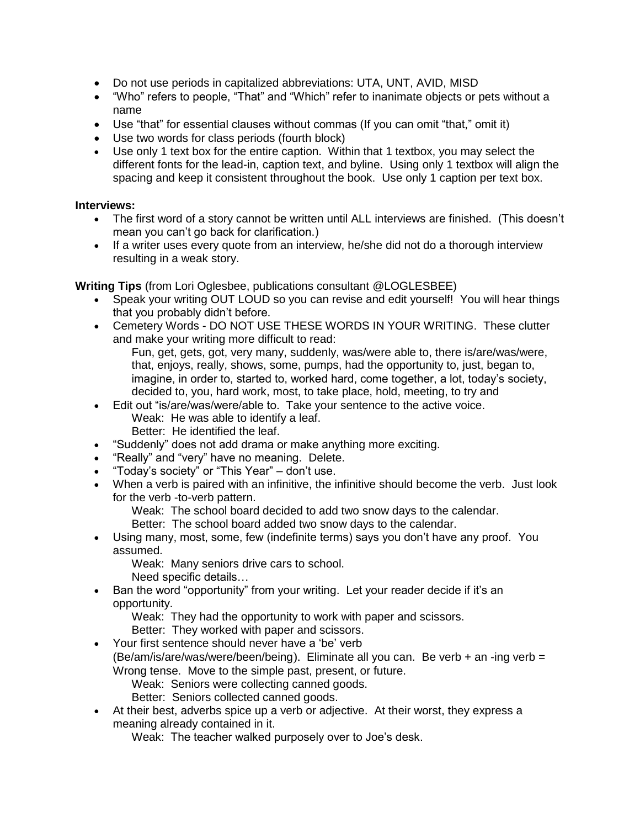- Do not use periods in capitalized abbreviations: UTA, UNT, AVID, MISD
- "Who" refers to people, "That" and "Which" refer to inanimate objects or pets without a name
- Use "that" for essential clauses without commas (If you can omit "that," omit it)
- Use two words for class periods (fourth block)
- Use only 1 text box for the entire caption. Within that 1 textbox, you may select the different fonts for the lead-in, caption text, and byline. Using only 1 textbox will align the spacing and keep it consistent throughout the book. Use only 1 caption per text box.

#### **Interviews:**

- The first word of a story cannot be written until ALL interviews are finished. (This doesn't mean you can't go back for clarification.)
- If a writer uses every quote from an interview, he/she did not do a thorough interview resulting in a weak story.

**Writing Tips** (from Lori Oglesbee, publications consultant @LOGLESBEE)

- Speak your writing OUT LOUD so you can revise and edit yourself! You will hear things that you probably didn't before.
- Cemetery Words DO NOT USE THESE WORDS IN YOUR WRITING. These clutter and make your writing more difficult to read:
	- Fun, get, gets, got, very many, suddenly, was/were able to, there is/are/was/were, that, enjoys, really, shows, some, pumps, had the opportunity to, just, began to, imagine, in order to, started to, worked hard, come together, a lot, today's society, decided to, you, hard work, most, to take place, hold, meeting, to try and
- Edit out "is/are/was/were/able to. Take your sentence to the active voice. Weak: He was able to identify a leaf. Better: He identified the leaf.
- "Suddenly" does not add drama or make anything more exciting.
- "Really" and "very" have no meaning. Delete.
- "Today's society" or "This Year" don't use.
- When a verb is paired with an infinitive, the infinitive should become the verb. Just look for the verb -to-verb pattern.

Weak: The school board decided to add two snow days to the calendar.

Better: The school board added two snow days to the calendar.

• Using many, most, some, few (indefinite terms) says you don't have any proof. You assumed.

Weak: Many seniors drive cars to school.

Need specific details…

• Ban the word "opportunity" from your writing. Let your reader decide if it's an opportunity.

Weak: They had the opportunity to work with paper and scissors.

Better: They worked with paper and scissors.

• Your first sentence should never have a 'be' verb (Be/am/is/are/was/were/been/being). Eliminate all you can. Be verb + an -ing verb = Wrong tense. Move to the simple past, present, or future.

Weak: Seniors were collecting canned goods.

Better: Seniors collected canned goods.

• At their best, adverbs spice up a verb or adjective. At their worst, they express a meaning already contained in it.

Weak: The teacher walked purposely over to Joe's desk.